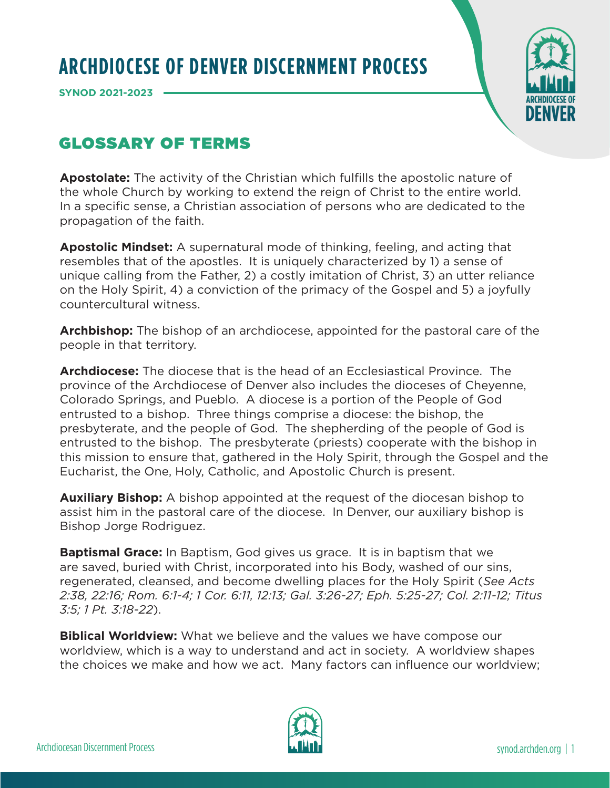## **ARCHDIOCESE OF DENVER DISCERNMENT PROCESS**

**SYNOD 2021-2023** 



## GLOSSARY OF TERMS

**Apostolate:** The activity of the Christian which fulfills the apostolic nature of the whole Church by working to extend the reign of Christ to the entire world. In a specific sense, a Christian association of persons who are dedicated to the propagation of the faith.

**Apostolic Mindset:** A supernatural mode of thinking, feeling, and acting that resembles that of the apostles. It is uniquely characterized by 1) a sense of unique calling from the Father, 2) a costly imitation of Christ, 3) an utter reliance on the Holy Spirit, 4) a conviction of the primacy of the Gospel and 5) a joyfully countercultural witness.

**Archbishop:** The bishop of an archdiocese, appointed for the pastoral care of the people in that territory.

**Archdiocese:** The diocese that is the head of an Ecclesiastical Province. The province of the Archdiocese of Denver also includes the dioceses of Cheyenne, Colorado Springs, and Pueblo. A diocese is a portion of the People of God entrusted to a bishop. Three things comprise a diocese: the bishop, the presbyterate, and the people of God. The shepherding of the people of God is entrusted to the bishop. The presbyterate (priests) cooperate with the bishop in this mission to ensure that, gathered in the Holy Spirit, through the Gospel and the Eucharist, the One, Holy, Catholic, and Apostolic Church is present.

**Auxiliary Bishop:** A bishop appointed at the request of the diocesan bishop to assist him in the pastoral care of the diocese. In Denver, our auxiliary bishop is Bishop Jorge Rodriguez.

**Baptismal Grace:** In Baptism, God gives us grace. It is in baptism that we are saved, buried with Christ, incorporated into his Body, washed of our sins, regenerated, cleansed, and become dwelling places for the Holy Spirit (*See Acts 2:38, 22:16; Rom. 6:1-4; 1 Cor. 6:11, 12:13; Gal. 3:26-27; Eph. 5:25-27; Col. 2:11-12; Titus 3:5; 1 Pt. 3:18-22*).

**Biblical Worldview:** What we believe and the values we have compose our worldview, which is a way to understand and act in society. A worldview shapes the choices we make and how we act. Many factors can influence our worldview;

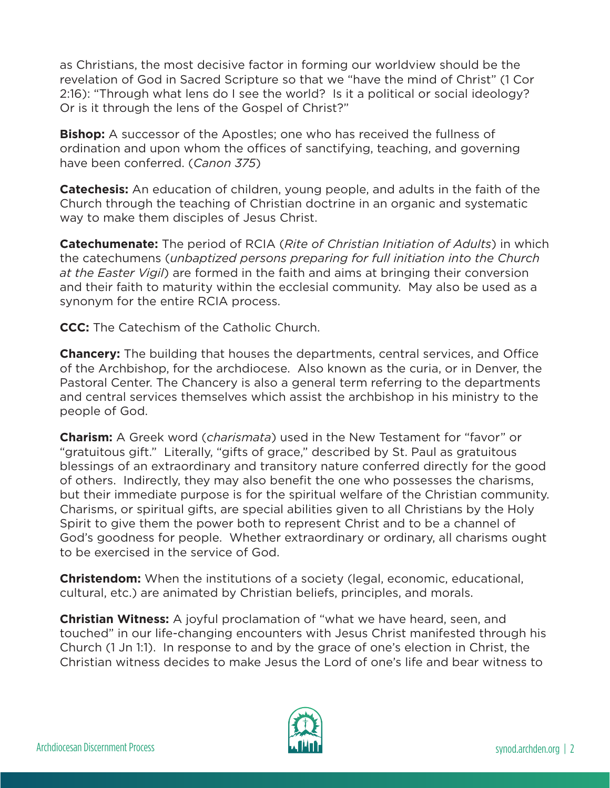as Christians, the most decisive factor in forming our worldview should be the revelation of God in Sacred Scripture so that we "have the mind of Christ" (1 Cor 2:16): "Through what lens do I see the world? Is it a political or social ideology? Or is it through the lens of the Gospel of Christ?"

**Bishop:** A successor of the Apostles; one who has received the fullness of ordination and upon whom the offices of sanctifying, teaching, and governing have been conferred. (*Canon 375*)

**Catechesis:** An education of children, young people, and adults in the faith of the Church through the teaching of Christian doctrine in an organic and systematic way to make them disciples of Jesus Christ.

**Catechumenate:** The period of RCIA (*Rite of Christian Initiation of Adults*) in which the catechumens (*unbaptized persons preparing for full initiation into the Church at the Easter Vigil*) are formed in the faith and aims at bringing their conversion and their faith to maturity within the ecclesial community. May also be used as a synonym for the entire RCIA process.

**CCC:** The Catechism of the Catholic Church.

**Chancery:** The building that houses the departments, central services, and Office of the Archbishop, for the archdiocese. Also known as the curia, or in Denver, the Pastoral Center. The Chancery is also a general term referring to the departments and central services themselves which assist the archbishop in his ministry to the people of God.

**Charism:** A Greek word (*charismata*) used in the New Testament for "favor" or "gratuitous gift." Literally, "gifts of grace," described by St. Paul as gratuitous blessings of an extraordinary and transitory nature conferred directly for the good of others. Indirectly, they may also benefit the one who possesses the charisms, but their immediate purpose is for the spiritual welfare of the Christian community. Charisms, or spiritual gifts, are special abilities given to all Christians by the Holy Spirit to give them the power both to represent Christ and to be a channel of God's goodness for people. Whether extraordinary or ordinary, all charisms ought to be exercised in the service of God.

**Christendom:** When the institutions of a society (legal, economic, educational, cultural, etc.) are animated by Christian beliefs, principles, and morals.

**Christian Witness:** A joyful proclamation of "what we have heard, seen, and touched" in our life-changing encounters with Jesus Christ manifested through his Church (1 Jn 1:1). In response to and by the grace of one's election in Christ, the Christian witness decides to make Jesus the Lord of one's life and bear witness to

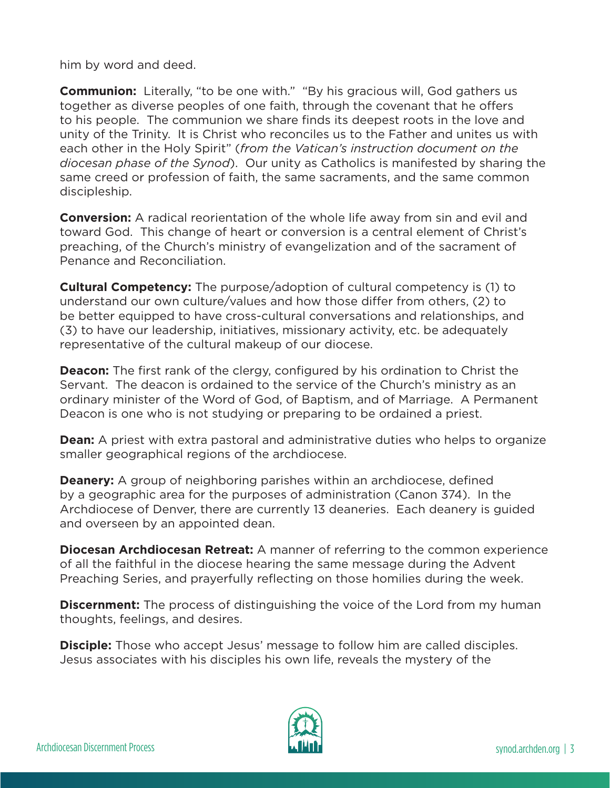him by word and deed.

**Communion:** Literally, "to be one with." "By his gracious will, God gathers us together as diverse peoples of one faith, through the covenant that he offers to his people. The communion we share finds its deepest roots in the love and unity of the Trinity. It is Christ who reconciles us to the Father and unites us with each other in the Holy Spirit" (*from the Vatican's instruction document on the diocesan phase of the Synod*). Our unity as Catholics is manifested by sharing the same creed or profession of faith, the same sacraments, and the same common discipleship.

**Conversion:** A radical reorientation of the whole life away from sin and evil and toward God. This change of heart or conversion is a central element of Christ's preaching, of the Church's ministry of evangelization and of the sacrament of Penance and Reconciliation.

**Cultural Competency:** The purpose/adoption of cultural competency is (1) to understand our own culture/values and how those differ from others, (2) to be better equipped to have cross-cultural conversations and relationships, and (3) to have our leadership, initiatives, missionary activity, etc. be adequately representative of the cultural makeup of our diocese.

**Deacon:** The first rank of the clergy, configured by his ordination to Christ the Servant. The deacon is ordained to the service of the Church's ministry as an ordinary minister of the Word of God, of Baptism, and of Marriage. A Permanent Deacon is one who is not studying or preparing to be ordained a priest.

**Dean:** A priest with extra pastoral and administrative duties who helps to organize smaller geographical regions of the archdiocese.

**Deanery:** A group of neighboring parishes within an archdiocese, defined by a geographic area for the purposes of administration (Canon 374). In the Archdiocese of Denver, there are currently 13 deaneries. Each deanery is guided and overseen by an appointed dean.

**Diocesan Archdiocesan Retreat:** A manner of referring to the common experience of all the faithful in the diocese hearing the same message during the Advent Preaching Series, and prayerfully reflecting on those homilies during the week.

**Discernment:** The process of distinguishing the voice of the Lord from my human thoughts, feelings, and desires.

**Disciple:** Those who accept Jesus' message to follow him are called disciples. Jesus associates with his disciples his own life, reveals the mystery of the

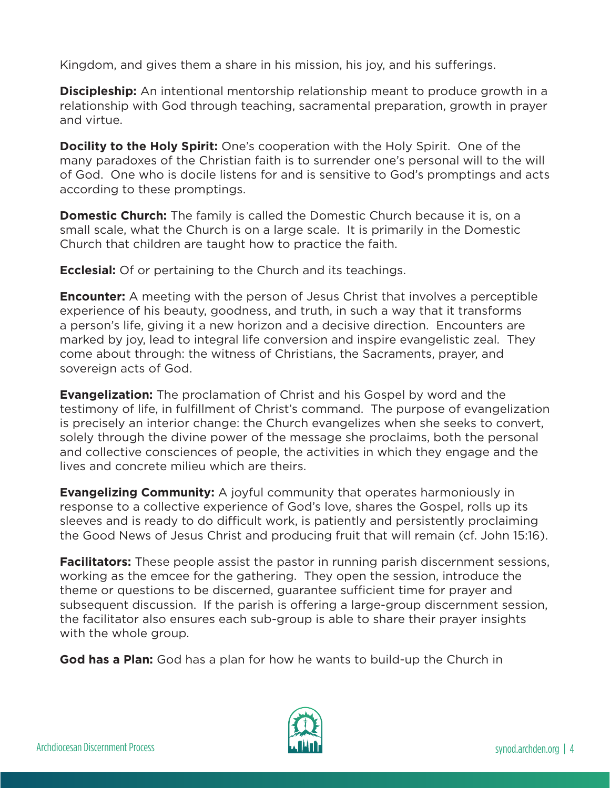Kingdom, and gives them a share in his mission, his joy, and his sufferings.

**Discipleship:** An intentional mentorship relationship meant to produce growth in a relationship with God through teaching, sacramental preparation, growth in prayer and virtue.

**Docility to the Holy Spirit:** One's cooperation with the Holy Spirit. One of the many paradoxes of the Christian faith is to surrender one's personal will to the will of God. One who is docile listens for and is sensitive to God's promptings and acts according to these promptings.

**Domestic Church:** The family is called the Domestic Church because it is, on a small scale, what the Church is on a large scale. It is primarily in the Domestic Church that children are taught how to practice the faith.

**Ecclesial:** Of or pertaining to the Church and its teachings.

**Encounter:** A meeting with the person of Jesus Christ that involves a perceptible experience of his beauty, goodness, and truth, in such a way that it transforms a person's life, giving it a new horizon and a decisive direction. Encounters are marked by joy, lead to integral life conversion and inspire evangelistic zeal. They come about through: the witness of Christians, the Sacraments, prayer, and sovereign acts of God.

**Evangelization:** The proclamation of Christ and his Gospel by word and the testimony of life, in fulfillment of Christ's command. The purpose of evangelization is precisely an interior change: the Church evangelizes when she seeks to convert, solely through the divine power of the message she proclaims, both the personal and collective consciences of people, the activities in which they engage and the lives and concrete milieu which are theirs.

**Evangelizing Community:** A joyful community that operates harmoniously in response to a collective experience of God's love, shares the Gospel, rolls up its sleeves and is ready to do difficult work, is patiently and persistently proclaiming the Good News of Jesus Christ and producing fruit that will remain (cf. John 15:16).

**Facilitators:** These people assist the pastor in running parish discernment sessions, working as the emcee for the gathering. They open the session, introduce the theme or questions to be discerned, guarantee sufficient time for prayer and subsequent discussion. If the parish is offering a large-group discernment session, the facilitator also ensures each sub-group is able to share their prayer insights with the whole group.

**God has a Plan:** God has a plan for how he wants to build-up the Church in

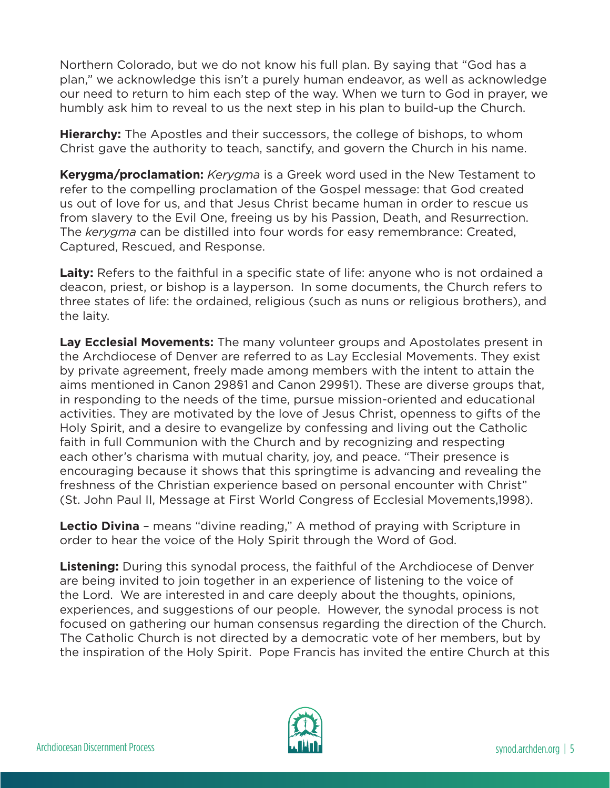Northern Colorado, but we do not know his full plan. By saying that "God has a plan," we acknowledge this isn't a purely human endeavor, as well as acknowledge our need to return to him each step of the way. When we turn to God in prayer, we humbly ask him to reveal to us the next step in his plan to build-up the Church.

**Hierarchy:** The Apostles and their successors, the college of bishops, to whom Christ gave the authority to teach, sanctify, and govern the Church in his name.

**Kerygma/proclamation:** *Kerygma* is a Greek word used in the New Testament to refer to the compelling proclamation of the Gospel message: that God created us out of love for us, and that Jesus Christ became human in order to rescue us from slavery to the Evil One, freeing us by his Passion, Death, and Resurrection. The *kerygma* can be distilled into four words for easy remembrance: Created, Captured, Rescued, and Response.

Laity: Refers to the faithful in a specific state of life: anyone who is not ordained a deacon, priest, or bishop is a layperson. In some documents, the Church refers to three states of life: the ordained, religious (such as nuns or religious brothers), and the laity.

**Lay Ecclesial Movements:** The many volunteer groups and Apostolates present in the Archdiocese of Denver are referred to as Lay Ecclesial Movements. They exist by private agreement, freely made among members with the intent to attain the aims mentioned in Canon 298§1 and Canon 299§1). These are diverse groups that, in responding to the needs of the time, pursue mission-oriented and educational activities. They are motivated by the love of Jesus Christ, openness to gifts of the Holy Spirit, and a desire to evangelize by confessing and living out the Catholic faith in full Communion with the Church and by recognizing and respecting each other's charisma with mutual charity, joy, and peace. "Their presence is encouraging because it shows that this springtime is advancing and revealing the freshness of the Christian experience based on personal encounter with Christ" (St. John Paul II, Message at First World Congress of Ecclesial Movements,1998).

**Lectio Divina** – means "divine reading," A method of praying with Scripture in order to hear the voice of the Holy Spirit through the Word of God.

**Listening:** During this synodal process, the faithful of the Archdiocese of Denver are being invited to join together in an experience of listening to the voice of the Lord. We are interested in and care deeply about the thoughts, opinions, experiences, and suggestions of our people. However, the synodal process is not focused on gathering our human consensus regarding the direction of the Church. The Catholic Church is not directed by a democratic vote of her members, but by the inspiration of the Holy Spirit. Pope Francis has invited the entire Church at this

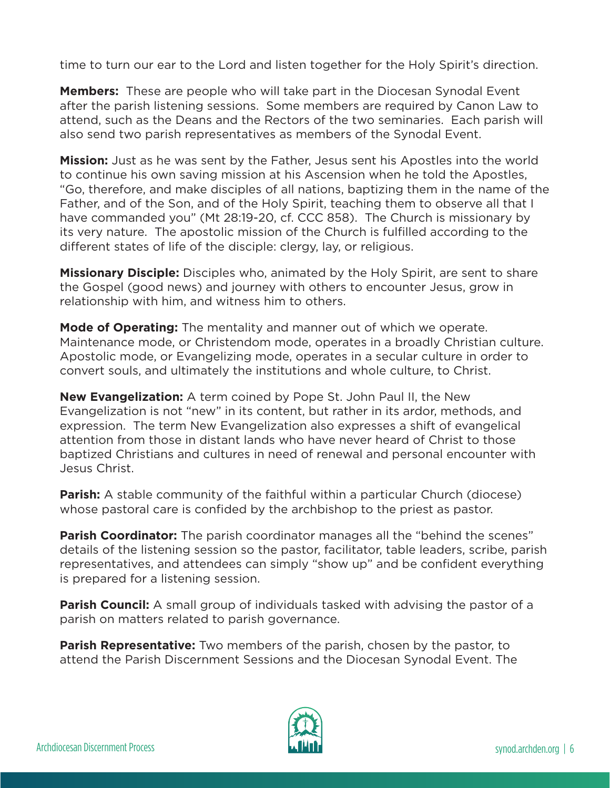time to turn our ear to the Lord and listen together for the Holy Spirit's direction.

**Members:** These are people who will take part in the Diocesan Synodal Event after the parish listening sessions. Some members are required by Canon Law to attend, such as the Deans and the Rectors of the two seminaries. Each parish will also send two parish representatives as members of the Synodal Event.

**Mission:** Just as he was sent by the Father, Jesus sent his Apostles into the world to continue his own saving mission at his Ascension when he told the Apostles, "Go, therefore, and make disciples of all nations, baptizing them in the name of the Father, and of the Son, and of the Holy Spirit, teaching them to observe all that I have commanded you" (Mt 28:19-20, cf. CCC 858). The Church is missionary by its very nature. The apostolic mission of the Church is fulfilled according to the different states of life of the disciple: clergy, lay, or religious.

**Missionary Disciple:** Disciples who, animated by the Holy Spirit, are sent to share the Gospel (good news) and journey with others to encounter Jesus, grow in relationship with him, and witness him to others.

**Mode of Operating:** The mentality and manner out of which we operate. Maintenance mode, or Christendom mode, operates in a broadly Christian culture. Apostolic mode, or Evangelizing mode, operates in a secular culture in order to convert souls, and ultimately the institutions and whole culture, to Christ.

**New Evangelization:** A term coined by Pope St. John Paul II, the New Evangelization is not "new" in its content, but rather in its ardor, methods, and expression. The term New Evangelization also expresses a shift of evangelical attention from those in distant lands who have never heard of Christ to those baptized Christians and cultures in need of renewal and personal encounter with Jesus Christ.

**Parish:** A stable community of the faithful within a particular Church (diocese) whose pastoral care is confided by the archbishop to the priest as pastor.

**Parish Coordinator:** The parish coordinator manages all the "behind the scenes" details of the listening session so the pastor, facilitator, table leaders, scribe, parish representatives, and attendees can simply "show up" and be confident everything is prepared for a listening session.

**Parish Council:** A small group of individuals tasked with advising the pastor of a parish on matters related to parish governance.

**Parish Representative:** Two members of the parish, chosen by the pastor, to attend the Parish Discernment Sessions and the Diocesan Synodal Event. The

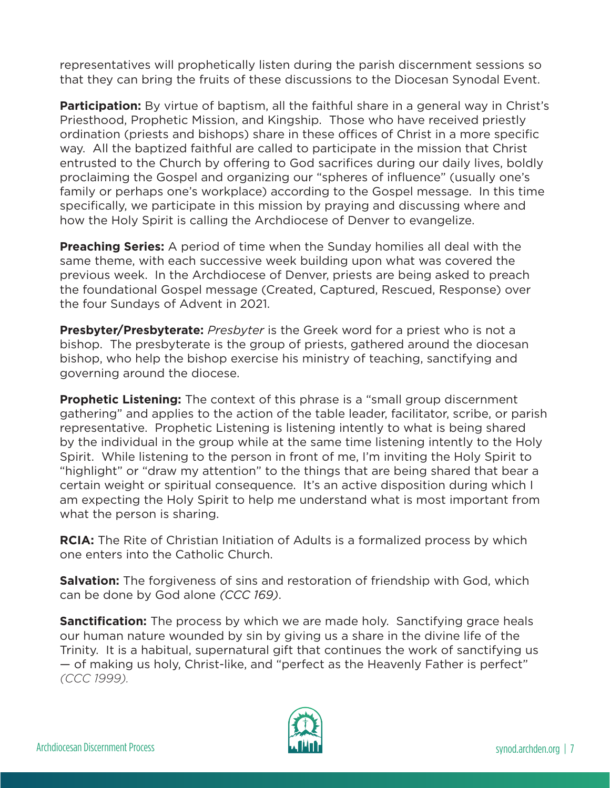representatives will prophetically listen during the parish discernment sessions so that they can bring the fruits of these discussions to the Diocesan Synodal Event.

**Participation:** By virtue of baptism, all the faithful share in a general way in Christ's Priesthood, Prophetic Mission, and Kingship. Those who have received priestly ordination (priests and bishops) share in these offices of Christ in a more specific way. All the baptized faithful are called to participate in the mission that Christ entrusted to the Church by offering to God sacrifices during our daily lives, boldly proclaiming the Gospel and organizing our "spheres of influence" (usually one's family or perhaps one's workplace) according to the Gospel message. In this time specifically, we participate in this mission by praying and discussing where and how the Holy Spirit is calling the Archdiocese of Denver to evangelize.

**Preaching Series:** A period of time when the Sunday homilies all deal with the same theme, with each successive week building upon what was covered the previous week. In the Archdiocese of Denver, priests are being asked to preach the foundational Gospel message (Created, Captured, Rescued, Response) over the four Sundays of Advent in 2021.

**Presbyter/Presbyterate:** *Presbyter* is the Greek word for a priest who is not a bishop. The presbyterate is the group of priests, gathered around the diocesan bishop, who help the bishop exercise his ministry of teaching, sanctifying and governing around the diocese.

**Prophetic Listening:** The context of this phrase is a "small group discernment gathering" and applies to the action of the table leader, facilitator, scribe, or parish representative. Prophetic Listening is listening intently to what is being shared by the individual in the group while at the same time listening intently to the Holy Spirit. While listening to the person in front of me, I'm inviting the Holy Spirit to "highlight" or "draw my attention" to the things that are being shared that bear a certain weight or spiritual consequence. It's an active disposition during which I am expecting the Holy Spirit to help me understand what is most important from what the person is sharing.

**RCIA:** The Rite of Christian Initiation of Adults is a formalized process by which one enters into the Catholic Church.

**Salvation:** The forgiveness of sins and restoration of friendship with God, which can be done by God alone *(CCC 169)*.

**Sanctification:** The process by which we are made holy. Sanctifying grace heals our human nature wounded by sin by giving us a share in the divine life of the Trinity. It is a habitual, supernatural gift that continues the work of sanctifying us — of making us holy, Christ-like, and "perfect as the Heavenly Father is perfect" *(CCC 1999).*

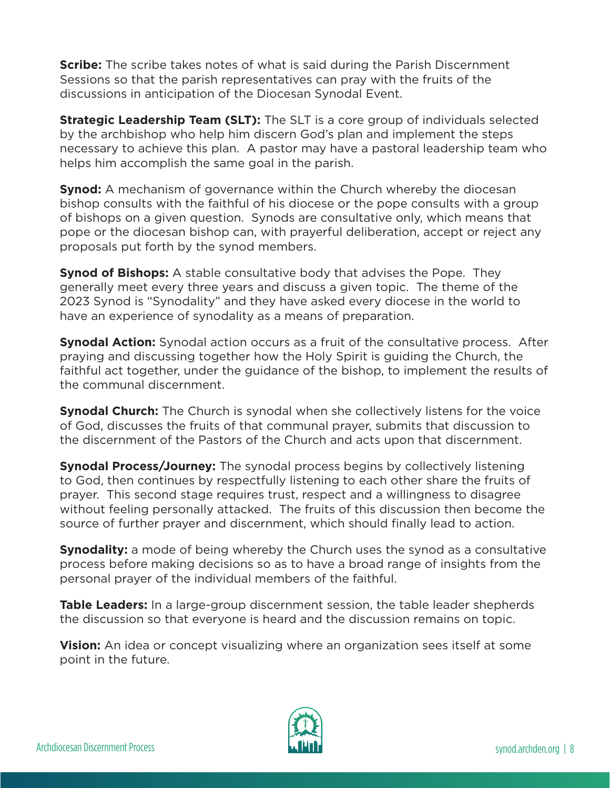**Scribe:** The scribe takes notes of what is said during the Parish Discernment Sessions so that the parish representatives can pray with the fruits of the discussions in anticipation of the Diocesan Synodal Event.

**Strategic Leadership Team (SLT):** The SLT is a core group of individuals selected by the archbishop who help him discern God's plan and implement the steps necessary to achieve this plan. A pastor may have a pastoral leadership team who helps him accomplish the same goal in the parish.

**Synod:** A mechanism of governance within the Church whereby the diocesan bishop consults with the faithful of his diocese or the pope consults with a group of bishops on a given question. Synods are consultative only, which means that pope or the diocesan bishop can, with prayerful deliberation, accept or reject any proposals put forth by the synod members.

**Synod of Bishops:** A stable consultative body that advises the Pope. They generally meet every three years and discuss a given topic. The theme of the 2023 Synod is "Synodality" and they have asked every diocese in the world to have an experience of synodality as a means of preparation.

**Synodal Action:** Synodal action occurs as a fruit of the consultative process. After praying and discussing together how the Holy Spirit is guiding the Church, the faithful act together, under the guidance of the bishop, to implement the results of the communal discernment.

**Synodal Church:** The Church is synodal when she collectively listens for the voice of God, discusses the fruits of that communal prayer, submits that discussion to the discernment of the Pastors of the Church and acts upon that discernment.

**Synodal Process/Journey:** The synodal process begins by collectively listening to God, then continues by respectfully listening to each other share the fruits of prayer. This second stage requires trust, respect and a willingness to disagree without feeling personally attacked. The fruits of this discussion then become the source of further prayer and discernment, which should finally lead to action.

**Synodality:** a mode of being whereby the Church uses the synod as a consultative process before making decisions so as to have a broad range of insights from the personal prayer of the individual members of the faithful.

**Table Leaders:** In a large-group discernment session, the table leader shepherds the discussion so that everyone is heard and the discussion remains on topic.

**Vision:** An idea or concept visualizing where an organization sees itself at some point in the future.